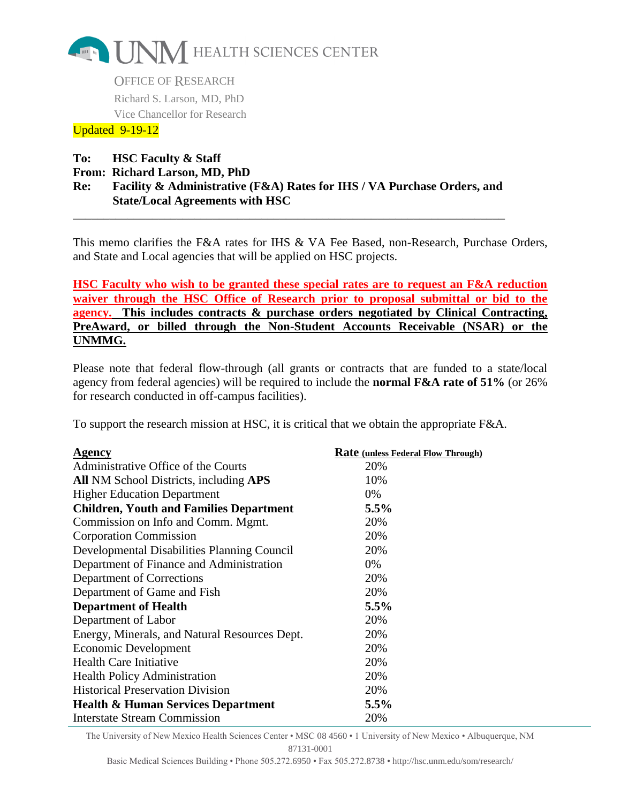

OFFICE OF RESEARCH Richard S. Larson, MD, PhD Vice Chancellor for Research

## Updated 9-19-12

- **To: HSC Faculty & Staff**
- **From: Richard Larson, MD, PhD**
- **Re: Facility & Administrative (F&A) Rates for IHS / VA Purchase Orders, and State/Local Agreements with HSC**

\_\_\_\_\_\_\_\_\_\_\_\_\_\_\_\_\_\_\_\_\_\_\_\_\_\_\_\_\_\_\_\_\_\_\_\_\_\_\_\_\_\_\_\_\_\_\_\_\_\_\_\_\_\_\_\_\_\_\_\_\_\_\_\_\_\_\_\_\_\_\_

This memo clarifies the F&A rates for IHS & VA Fee Based, non-Research, Purchase Orders, and State and Local agencies that will be applied on HSC projects.

**HSC Faculty who wish to be granted these special rates are to request an F&A reduction waiver through the HSC Office of Research prior to proposal submittal or bid to the agency. This includes contracts & purchase orders negotiated by Clinical Contracting, PreAward, or billed through the Non-Student Accounts Receivable (NSAR) or the UNMMG.**

Please note that federal flow-through (all grants or contracts that are funded to a state/local agency from federal agencies) will be required to include the **normal F&A rate of 51%** (or 26% for research conducted in off-campus facilities).

To support the research mission at HSC, it is critical that we obtain the appropriate F&A.

| Agency                                         | <b>Rate</b> (unless Federal Flow Through) |
|------------------------------------------------|-------------------------------------------|
| Administrative Office of the Courts            | 20%                                       |
| <b>All NM School Districts, including APS</b>  | 10%                                       |
| <b>Higher Education Department</b>             | 0%                                        |
| <b>Children, Youth and Families Department</b> | 5.5%                                      |
| Commission on Info and Comm. Mgmt.             | 20%                                       |
| <b>Corporation Commission</b>                  | 20%                                       |
| Developmental Disabilities Planning Council    | 20%                                       |
| Department of Finance and Administration       | 0%                                        |
| Department of Corrections                      | 20%                                       |
| Department of Game and Fish                    | 20%                                       |
| <b>Department of Health</b>                    | 5.5%                                      |
| Department of Labor                            | 20%                                       |
| Energy, Minerals, and Natural Resources Dept.  | 20%                                       |
| Economic Development                           | 20%                                       |
| <b>Health Care Initiative</b>                  | 20%                                       |
| <b>Health Policy Administration</b>            | 20%                                       |
| <b>Historical Preservation Division</b>        | 20%                                       |
| <b>Health &amp; Human Services Department</b>  | 5.5%                                      |
| <b>Interstate Stream Commission</b>            | 20%                                       |

The University of New Mexico Health Sciences Center • MSC 08 4560 • 1 University of New Mexico • Albuquerque, NM 87131-0001

Basic Medical Sciences Building • Phone 505.272.6950 • Fax 505.272.8738 • http://hsc.unm.edu/som/research/